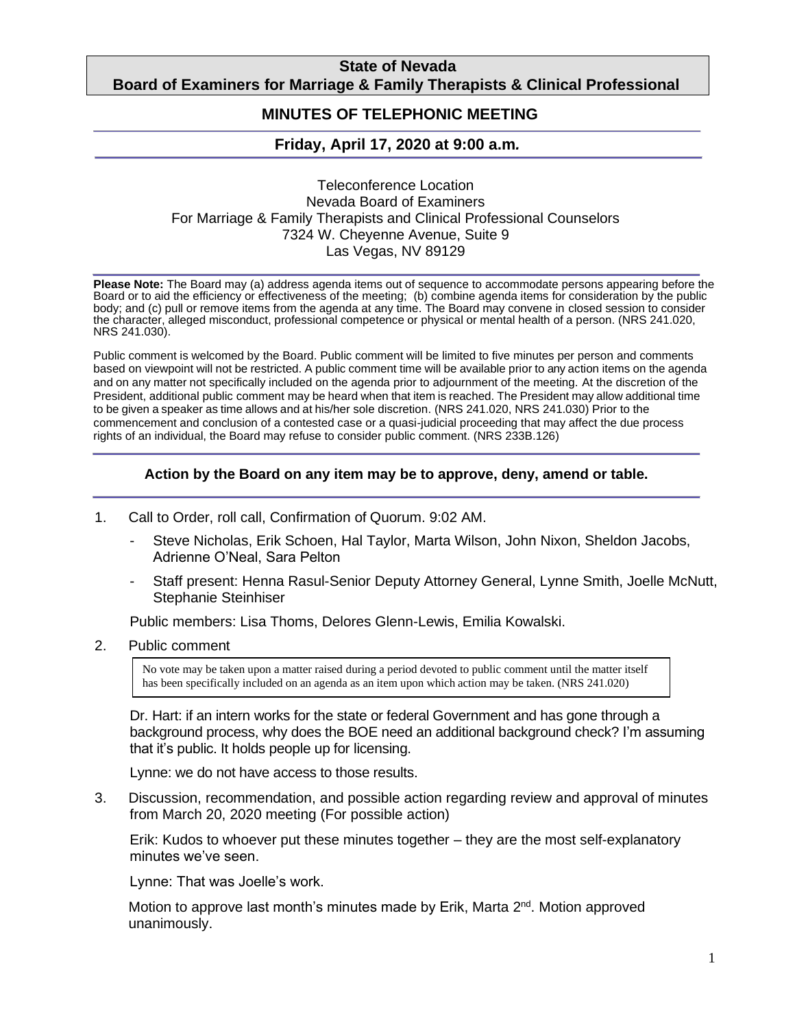## **State of Nevada Board of Examiners for Marriage & Family Therapists & Clinical Professional**

#### **Counselors MINUTES OF TELEPHONIC MEETING**

# **Friday, April 17, 2020 at 9:00 a.m***.*

#### Teleconference Location Nevada Board of Examiners For Marriage & Family Therapists and Clinical Professional Counselors 7324 W. Cheyenne Avenue, Suite 9 Las Vegas, NV 89129

**Please Note:** The Board may (a) address agenda items out of sequence to accommodate persons appearing before the Board or to aid the efficiency or effectiveness of the meeting; (b) combine agenda items for consideration by the public body; and (c) pull or remove items from the agenda at any time. The Board may convene in closed session to consider the character, alleged misconduct, professional competence or physical or mental health of a person. (NRS 241.020, NRS 241.030).

Public comment is welcomed by the Board. Public comment will be limited to five minutes per person and comments based on viewpoint will not be restricted. A public comment time will be available prior to any action items on the agenda and on any matter not specifically included on the agenda prior to adjournment of the meeting. At the discretion of the President, additional public comment may be heard when that item is reached. The President may allow additional time to be given a speaker as time allows and at his/her sole discretion. (NRS 241.020, NRS 241.030) Prior to the commencement and conclusion of a contested case or a quasi-judicial proceeding that may affect the due process rights of an individual, the Board may refuse to consider public comment. (NRS 233B.126)

### **Action by the Board on any item may be to approve, deny, amend or table.**

- 1. Call to Order, roll call, Confirmation of Quorum. 9:02 AM.
	- Steve Nicholas, Erik Schoen, Hal Taylor, Marta Wilson, John Nixon, Sheldon Jacobs, Adrienne O'Neal, Sara Pelton
	- Staff present: Henna Rasul-Senior Deputy Attorney General, Lynne Smith, Joelle McNutt, Stephanie Steinhiser

Public members: Lisa Thoms, Delores Glenn-Lewis, Emilia Kowalski.

2. Public comment

No vote may be taken upon a matter raised during a period devoted to public comment until the matter itself has been specifically included on an agenda as an item upon which action may be taken. (NRS 241.020)

Dr. Hart: if an intern works for the state or federal Government and has gone through a background process, why does the BOE need an additional background check? I'm assuming that it's public. It holds people up for licensing.

Lynne: we do not have access to those results.

3. Discussion, recommendation, and possible action regarding review and approval of minutes from March 20, 2020 meeting (For possible action)

Erik: Kudos to whoever put these minutes together – they are the most self-explanatory minutes we've seen.

Lynne: That was Joelle's work.

Motion to approve last month's minutes made by Erik, Marta 2<sup>nd</sup>. Motion approved unanimously.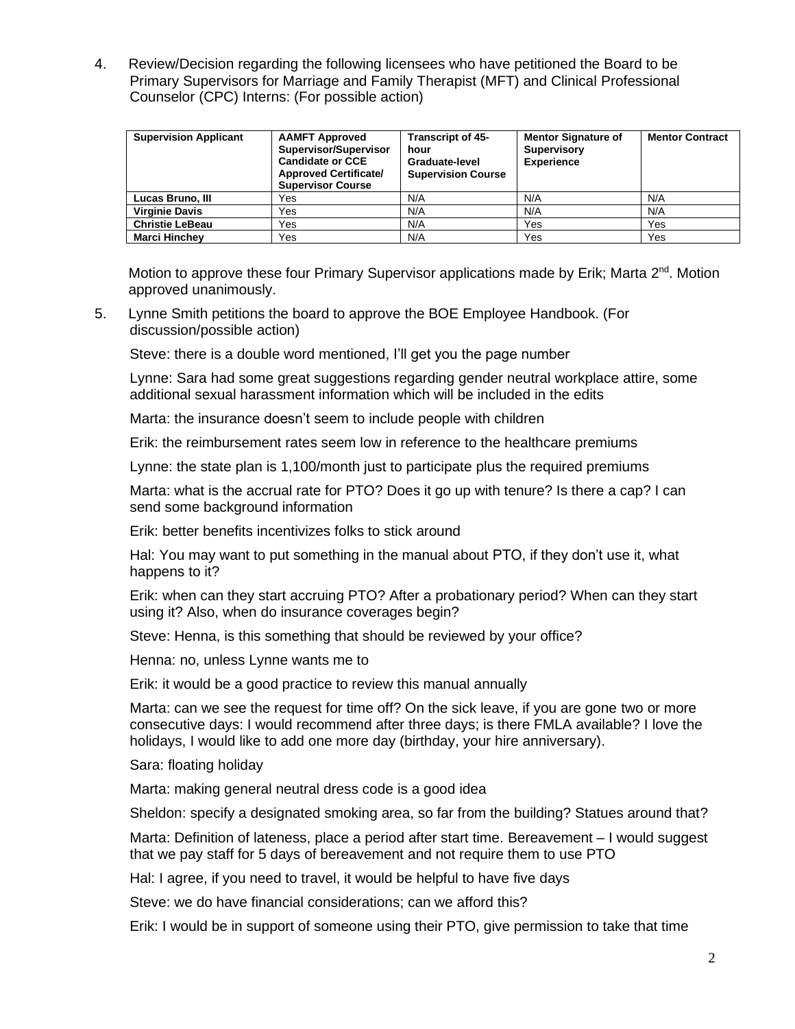4. Review/Decision regarding the following licensees who have petitioned the Board to be Primary Supervisors for Marriage and Family Therapist (MFT) and Clinical Professional Counselor (CPC) Interns: (For possible action)

| <b>Supervision Applicant</b> | <b>AAMFT Approved</b><br>Supervisor/Supervisor<br><b>Candidate or CCE</b><br><b>Approved Certificate/</b><br><b>Supervisor Course</b> | <b>Transcript of 45-</b><br>hour<br>Graduate-level<br><b>Supervision Course</b> | <b>Mentor Signature of</b><br><b>Supervisory</b><br><b>Experience</b> | <b>Mentor Contract</b> |
|------------------------------|---------------------------------------------------------------------------------------------------------------------------------------|---------------------------------------------------------------------------------|-----------------------------------------------------------------------|------------------------|
| Lucas Bruno, III             | Yes                                                                                                                                   | N/A                                                                             | N/A                                                                   | N/A                    |
| <b>Virginie Davis</b>        | Yes                                                                                                                                   | N/A                                                                             | N/A                                                                   | N/A                    |
| <b>Christie LeBeau</b>       | Yes                                                                                                                                   | N/A                                                                             | Yes                                                                   | Yes                    |
| <b>Marci Hinchey</b>         | Yes                                                                                                                                   | N/A                                                                             | Yes                                                                   | Yes                    |

Motion to approve these four Primary Supervisor applications made by Erik; Marta 2<sup>nd</sup>. Motion approved unanimously.

5. Lynne Smith petitions the board to approve the BOE Employee Handbook. (For discussion/possible action)

Steve: there is a double word mentioned, I'll get you the page number

Lynne: Sara had some great suggestions regarding gender neutral workplace attire, some additional sexual harassment information which will be included in the edits

Marta: the insurance doesn't seem to include people with children

Erik: the reimbursement rates seem low in reference to the healthcare premiums

Lynne: the state plan is 1,100/month just to participate plus the required premiums

Marta: what is the accrual rate for PTO? Does it go up with tenure? Is there a cap? I can send some background information

Erik: better benefits incentivizes folks to stick around

Hal: You may want to put something in the manual about PTO, if they don't use it, what happens to it?

Erik: when can they start accruing PTO? After a probationary period? When can they start using it? Also, when do insurance coverages begin?

Steve: Henna, is this something that should be reviewed by your office?

Henna: no, unless Lynne wants me to

Erik: it would be a good practice to review this manual annually

Marta: can we see the request for time off? On the sick leave, if you are gone two or more consecutive days: I would recommend after three days; is there FMLA available? I love the holidays, I would like to add one more day (birthday, your hire anniversary).

Sara: floating holiday

Marta: making general neutral dress code is a good idea

Sheldon: specify a designated smoking area, so far from the building? Statues around that?

Marta: Definition of lateness, place a period after start time. Bereavement – I would suggest that we pay staff for 5 days of bereavement and not require them to use PTO

Hal: I agree, if you need to travel, it would be helpful to have five days

Steve: we do have financial considerations; can we afford this?

Erik: I would be in support of someone using their PTO, give permission to take that time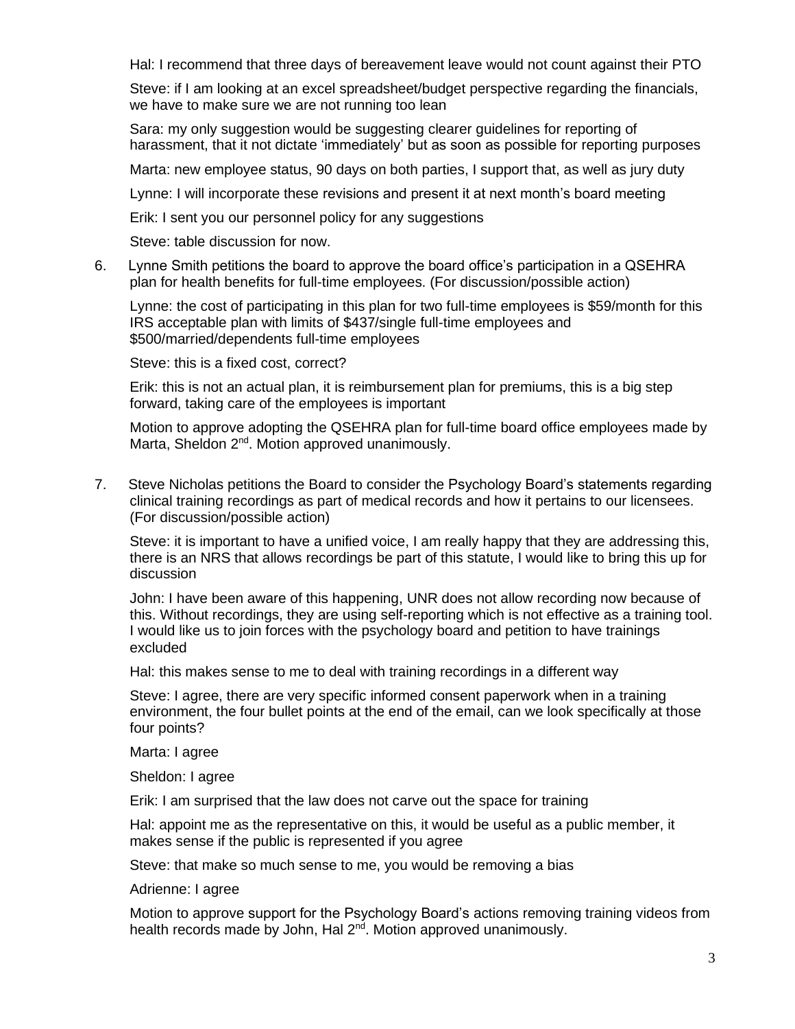Hal: I recommend that three days of bereavement leave would not count against their PTO

Steve: if I am looking at an excel spreadsheet/budget perspective regarding the financials, we have to make sure we are not running too lean

Sara: my only suggestion would be suggesting clearer guidelines for reporting of harassment, that it not dictate 'immediately' but as soon as possible for reporting purposes

Marta: new employee status, 90 days on both parties, I support that, as well as jury duty

Lynne: I will incorporate these revisions and present it at next month's board meeting

Erik: I sent you our personnel policy for any suggestions

Steve: table discussion for now.

6. Lynne Smith petitions the board to approve the board office's participation in a QSEHRA plan for health benefits for full-time employees. (For discussion/possible action)

Lynne: the cost of participating in this plan for two full-time employees is \$59/month for this IRS acceptable plan with limits of \$437/single full-time employees and \$500/married/dependents full-time employees

Steve: this is a fixed cost, correct?

Erik: this is not an actual plan, it is reimbursement plan for premiums, this is a big step forward, taking care of the employees is important

Motion to approve adopting the QSEHRA plan for full-time board office employees made by Marta, Sheldon 2<sup>nd</sup>. Motion approved unanimously.

7. Steve Nicholas petitions the Board to consider the Psychology Board's statements regarding clinical training recordings as part of medical records and how it pertains to our licensees. (For discussion/possible action)

Steve: it is important to have a unified voice, I am really happy that they are addressing this, there is an NRS that allows recordings be part of this statute, I would like to bring this up for discussion

John: I have been aware of this happening, UNR does not allow recording now because of this. Without recordings, they are using self-reporting which is not effective as a training tool. I would like us to join forces with the psychology board and petition to have trainings excluded

Hal: this makes sense to me to deal with training recordings in a different way

Steve: I agree, there are very specific informed consent paperwork when in a training environment, the four bullet points at the end of the email, can we look specifically at those four points?

Marta: I agree

Sheldon: I agree

Erik: I am surprised that the law does not carve out the space for training

Hal: appoint me as the representative on this, it would be useful as a public member, it makes sense if the public is represented if you agree

Steve: that make so much sense to me, you would be removing a bias

Adrienne: I agree

Motion to approve support for the Psychology Board's actions removing training videos from health records made by John, Hal 2<sup>nd</sup>. Motion approved unanimously.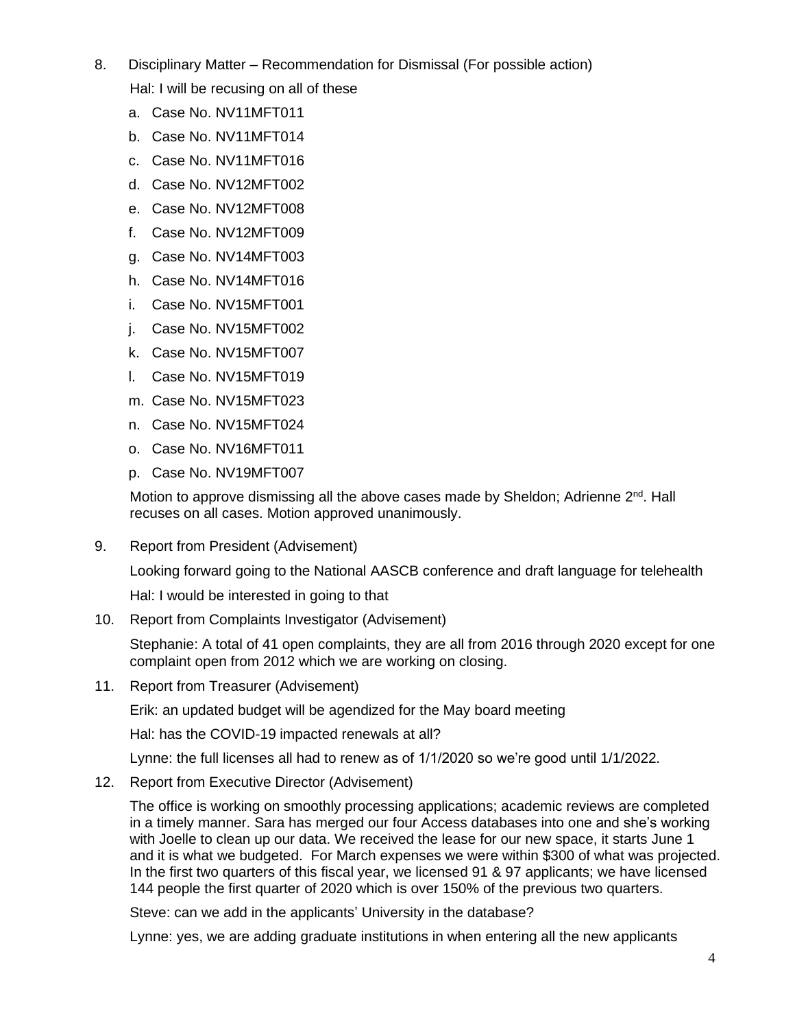- 8. Disciplinary Matter Recommendation for Dismissal (For possible action) Hal: I will be recusing on all of these
	- a. Case No. NV11MFT011
	- b. Case No. NV11MFT014
	- c. Case No. NV11MFT016
	- d. Case No. NV12MFT002
	- e. Case No. NV12MFT008
	- f. Case No. NV12MFT009
	- g. Case No. NV14MFT003
	- h. Case No. NV14MFT016
	- i. Case No. NV15MFT001
	- j. Case No. NV15MFT002
	- k. Case No. NV15MFT007
	- l. Case No. NV15MFT019
	- m. Case No. NV15MFT023
	- n. Case No. NV15MFT024
	- o. Case No. NV16MFT011
	- p. Case No. NV19MFT007

Motion to approve dismissing all the above cases made by Sheldon; Adrienne 2<sup>nd</sup>. Hall recuses on all cases. Motion approved unanimously.

9. Report from President (Advisement)

Looking forward going to the National AASCB conference and draft language for telehealth

Hal: I would be interested in going to that

10. Report from Complaints Investigator (Advisement)

Stephanie: A total of 41 open complaints, they are all from 2016 through 2020 except for one complaint open from 2012 which we are working on closing.

11. Report from Treasurer (Advisement)

Erik: an updated budget will be agendized for the May board meeting

Hal: has the COVID-19 impacted renewals at all?

Lynne: the full licenses all had to renew as of 1/1/2020 so we're good until 1/1/2022.

12. Report from Executive Director (Advisement)

The office is working on smoothly processing applications; academic reviews are completed in a timely manner. Sara has merged our four Access databases into one and she's working with Joelle to clean up our data. We received the lease for our new space, it starts June 1 and it is what we budgeted. For March expenses we were within \$300 of what was projected. In the first two quarters of this fiscal year, we licensed 91 & 97 applicants; we have licensed 144 people the first quarter of 2020 which is over 150% of the previous two quarters.

Steve: can we add in the applicants' University in the database?

Lynne: yes, we are adding graduate institutions in when entering all the new applicants